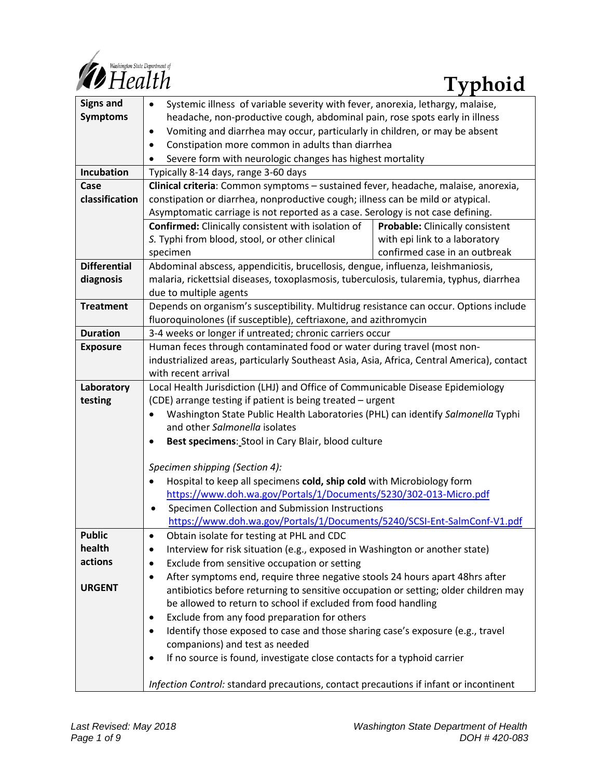

| <b>Signs and</b>    | Systemic illness of variable severity with fever, anorexia, lethargy, malaise,<br>$\bullet$                       |                                 |
|---------------------|-------------------------------------------------------------------------------------------------------------------|---------------------------------|
| <b>Symptoms</b>     | headache, non-productive cough, abdominal pain, rose spots early in illness                                       |                                 |
|                     | Vomiting and diarrhea may occur, particularly in children, or may be absent<br>٠                                  |                                 |
|                     | Constipation more common in adults than diarrhea<br>٠                                                             |                                 |
|                     | Severe form with neurologic changes has highest mortality<br>$\bullet$                                            |                                 |
| Incubation          | Typically 8-14 days, range 3-60 days                                                                              |                                 |
| Case                | Clinical criteria: Common symptoms - sustained fever, headache, malaise, anorexia,                                |                                 |
| classification      | constipation or diarrhea, nonproductive cough; illness can be mild or atypical.                                   |                                 |
|                     | Asymptomatic carriage is not reported as a case. Serology is not case defining.                                   |                                 |
|                     | <b>Confirmed:</b> Clinically consistent with isolation of                                                         | Probable: Clinically consistent |
|                     | S. Typhi from blood, stool, or other clinical                                                                     | with epi link to a laboratory   |
|                     | specimen                                                                                                          | confirmed case in an outbreak   |
| <b>Differential</b> | Abdominal abscess, appendicitis, brucellosis, dengue, influenza, leishmaniosis,                                   |                                 |
| diagnosis           | malaria, rickettsial diseases, toxoplasmosis, tuberculosis, tularemia, typhus, diarrhea                           |                                 |
|                     | due to multiple agents                                                                                            |                                 |
| <b>Treatment</b>    | Depends on organism's susceptibility. Multidrug resistance can occur. Options include                             |                                 |
|                     | fluoroquinolones (if susceptible), ceftriaxone, and azithromycin                                                  |                                 |
| <b>Duration</b>     | 3-4 weeks or longer if untreated; chronic carriers occur                                                          |                                 |
| <b>Exposure</b>     | Human feces through contaminated food or water during travel (most non-                                           |                                 |
|                     | industrialized areas, particularly Southeast Asia, Asia, Africa, Central America), contact<br>with recent arrival |                                 |
| Laboratory          | Local Health Jurisdiction (LHJ) and Office of Communicable Disease Epidemiology                                   |                                 |
| testing             | (CDE) arrange testing if patient is being treated - urgent                                                        |                                 |
|                     | Washington State Public Health Laboratories (PHL) can identify Salmonella Typhi                                   |                                 |
|                     | and other Salmonella isolates                                                                                     |                                 |
|                     | Best specimens: Stool in Cary Blair, blood culture<br>$\bullet$                                                   |                                 |
|                     |                                                                                                                   |                                 |
|                     | Specimen shipping (Section 4):                                                                                    |                                 |
|                     | Hospital to keep all specimens cold, ship cold with Microbiology form<br>$\bullet$                                |                                 |
|                     | https://www.doh.wa.gov/Portals/1/Documents/5230/302-013-Micro.pdf                                                 |                                 |
|                     | Specimen Collection and Submission Instructions<br>$\bullet$                                                      |                                 |
|                     | https://www.doh.wa.gov/Portals/1/Documents/5240/SCSI-Ent-SalmConf-V1.pdf                                          |                                 |
| <b>Public</b>       | Obtain isolate for testing at PHL and CDC                                                                         |                                 |
| health              | Interview for risk situation (e.g., exposed in Washington or another state)<br>٠                                  |                                 |
| actions             | Exclude from sensitive occupation or setting<br>٠                                                                 |                                 |
|                     | After symptoms end, require three negative stools 24 hours apart 48hrs after<br>٠                                 |                                 |
| <b>URGENT</b>       | antibiotics before returning to sensitive occupation or setting; older children may                               |                                 |
|                     | be allowed to return to school if excluded from food handling                                                     |                                 |
|                     | Exclude from any food preparation for others<br>٠                                                                 |                                 |
|                     | Identify those exposed to case and those sharing case's exposure (e.g., travel<br>٠                               |                                 |
|                     | companions) and test as needed                                                                                    |                                 |
|                     | If no source is found, investigate close contacts for a typhoid carrier<br>٠                                      |                                 |
|                     | Infection Control: standard precautions, contact precautions if infant or incontinent                             |                                 |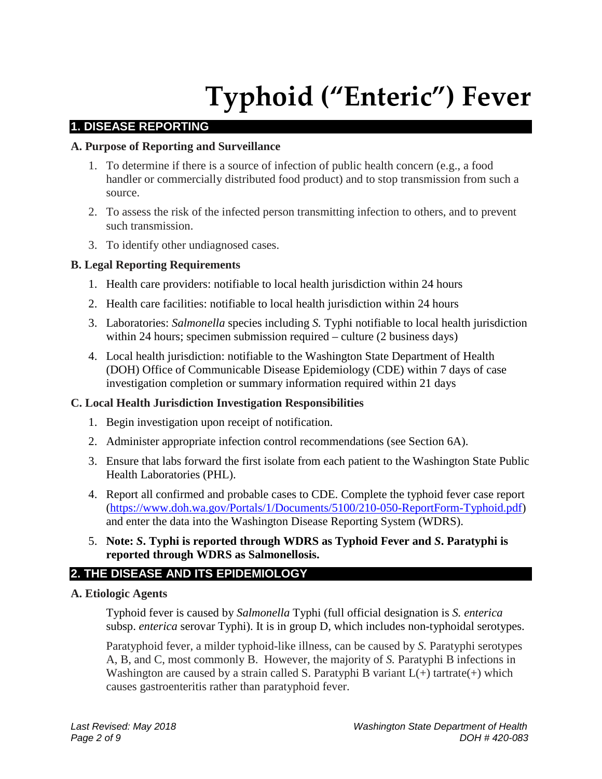# **Typhoid ("Enteric") Fever**

#### **1. DISEASE REPORTING**

#### **A. Purpose of Reporting and Surveillance**

- 1. To determine if there is a source of infection of public health concern (e.g., a food handler or commercially distributed food product) and to stop transmission from such a source.
- 2. To assess the risk of the infected person transmitting infection to others, and to prevent such transmission.
- 3. To identify other undiagnosed cases.

#### **B. Legal Reporting Requirements**

- 1. Health care providers: notifiable to local health jurisdiction within 24 hours
- 2. Health care facilities: notifiable to local health jurisdiction within 24 hours
- 3. Laboratories: *Salmonella* species including *S.* Typhi notifiable to local health jurisdiction within 24 hours; specimen submission required – culture (2 business days)
- 4. Local health jurisdiction: notifiable to the Washington State Department of Health (DOH) Office of Communicable Disease Epidemiology (CDE) within 7 days of case investigation completion or summary information required within 21 days

#### **C. Local Health Jurisdiction Investigation Responsibilities**

- 1. Begin investigation upon receipt of notification.
- 2. Administer appropriate infection control recommendations (see Section 6A).
- 3. Ensure that labs forward the first isolate from each patient to the Washington State Public Health Laboratories (PHL).
- 4. Report all confirmed and probable cases to CDE. Complete the typhoid fever case report [\(https://www.doh.wa.gov/Portals/1/Documents/5100/210-050-ReportForm-Typhoid.pdf\)](https://www.doh.wa.gov/Portals/1/Documents/5100/210-050-ReportForm-Typhoid.pdf) and enter the data into the Washington Disease Reporting System (WDRS).
- 5. **Note:** *S***. Typhi is reported through WDRS as Typhoid Fever and** *S***. Paratyphi is reported through WDRS as Salmonellosis.**

#### **2. THE DISEASE AND ITS EPIDEMIOLOGY**

#### **A. Etiologic Agents**

Typhoid fever is caused by *Salmonella* Typhi (full official designation is *S. enterica*  subsp. *enterica* serovar Typhi). It is in group D, which includes non-typhoidal serotypes.

Paratyphoid fever, a milder typhoid-like illness, can be caused by *S.* Paratyphi serotypes A, B, and C, most commonly B. However, the majority of *S.* Paratyphi B infections in Washington are caused by a strain called S. Paratyphi B variant  $L(+)$  tartrate(+) which causes gastroenteritis rather than paratyphoid fever.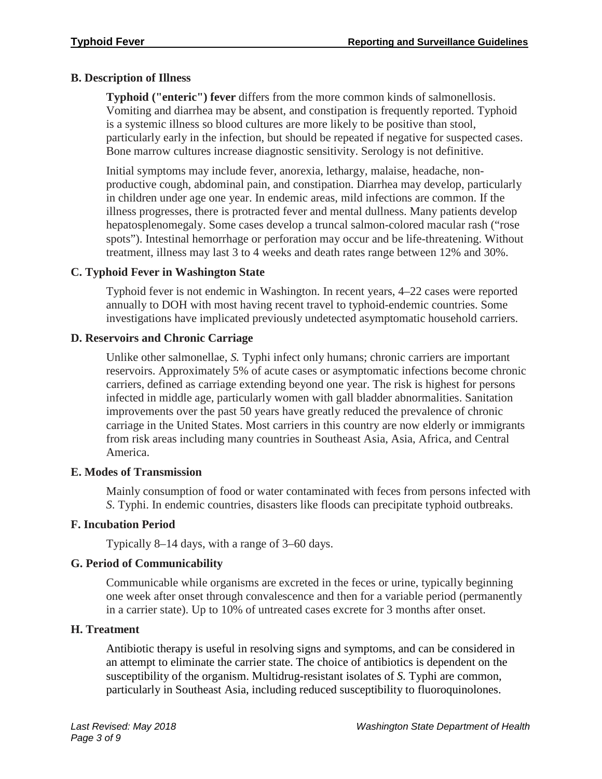#### **B. Description of Illness**

**Typhoid ("enteric") fever** differs from the more common kinds of salmonellosis. Vomiting and diarrhea may be absent, and constipation is frequently reported. Typhoid is a systemic illness so blood cultures are more likely to be positive than stool, particularly early in the infection, but should be repeated if negative for suspected cases. Bone marrow cultures increase diagnostic sensitivity. Serology is not definitive.

Initial symptoms may include fever, anorexia, lethargy, malaise, headache, nonproductive cough, abdominal pain, and constipation. Diarrhea may develop, particularly in children under age one year. In endemic areas, mild infections are common. If the illness progresses, there is protracted fever and mental dullness. Many patients develop hepatosplenomegaly. Some cases develop a truncal salmon-colored macular rash ("rose spots"). Intestinal hemorrhage or perforation may occur and be life-threatening. Without treatment, illness may last 3 to 4 weeks and death rates range between 12% and 30%.

#### **C. Typhoid Fever in Washington State**

Typhoid fever is not endemic in Washington. In recent years, 4–22 cases were reported annually to DOH with most having recent travel to typhoid-endemic countries. Some investigations have implicated previously undetected asymptomatic household carriers.

#### **D. Reservoirs and Chronic Carriage**

Unlike other salmonellae, *S.* Typhi infect only humans; chronic carriers are important reservoirs. Approximately 5% of acute cases or asymptomatic infections become chronic carriers, defined as carriage extending beyond one year. The risk is highest for persons infected in middle age, particularly women with gall bladder abnormalities. Sanitation improvements over the past 50 years have greatly reduced the prevalence of chronic carriage in the United States. Most carriers in this country are now elderly or immigrants from risk areas including many countries in Southeast Asia, Asia, Africa, and Central America.

#### **E. Modes of Transmission**

Mainly consumption of food or water contaminated with feces from persons infected with *S*. Typhi. In endemic countries, disasters like floods can precipitate typhoid outbreaks.

### **F. Incubation Period**

Typically 8–14 days, with a range of 3–60 days.

### **G. Period of Communicability**

Communicable while organisms are excreted in the feces or urine, typically beginning one week after onset through convalescence and then for a variable period (permanently in a carrier state). Up to 10% of untreated cases excrete for 3 months after onset.

#### **H. Treatment**

Antibiotic therapy is useful in resolving signs and symptoms, and can be considered in an attempt to eliminate the carrier state. The choice of antibiotics is dependent on the susceptibility of the organism. Multidrug-resistant isolates of *S.* Typhi are common, particularly in Southeast Asia, including reduced susceptibility to fluoroquinolones.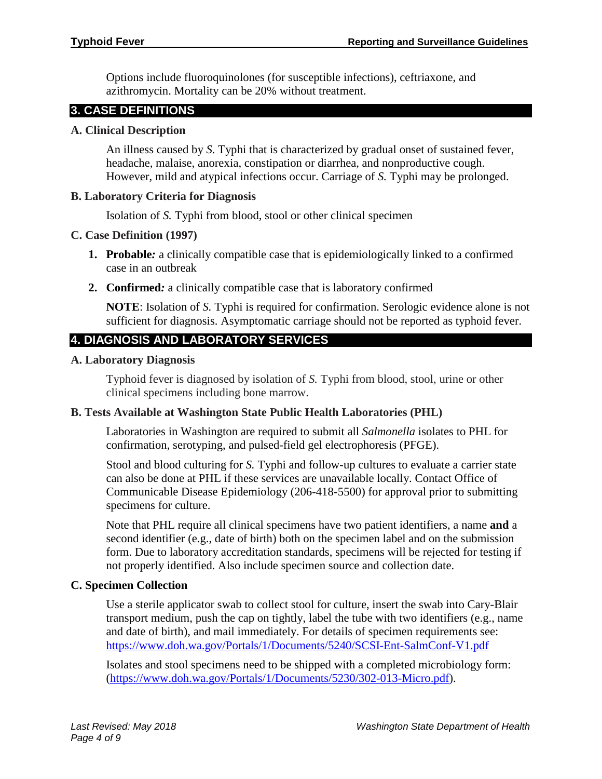Options include fluoroquinolones (for susceptible infections), ceftriaxone, and azithromycin. Mortality can be 20% without treatment.

# **3. CASE DEFINITIONS**

# **A. Clinical Description**

An illness caused by *S*. Typhi that is characterized by gradual onset of sustained fever, headache, malaise, anorexia, constipation or diarrhea, and nonproductive cough. However, mild and atypical infections occur. Carriage of *S.* Typhi may be prolonged.

# **B. Laboratory Criteria for Diagnosis**

Isolation of *S.* Typhi from blood, stool or other clinical specimen

# **C. Case Definition (1997)**

- **1. Probable***:* a clinically compatible case that is epidemiologically linked to a confirmed case in an outbreak
- **2. Confirmed***:* a clinically compatible case that is laboratory confirmed

**NOTE**: Isolation of *S.* Typhi is required for confirmation. Serologic evidence alone is not sufficient for diagnosis. Asymptomatic carriage should not be reported as typhoid fever.

# **4. DIAGNOSIS AND LABORATORY SERVICES**

### **A. Laboratory Diagnosis**

Typhoid fever is diagnosed by isolation of *S.* Typhi from blood, stool, urine or other clinical specimens including bone marrow.

# **B. Tests Available at Washington State Public Health Laboratories (PHL)**

Laboratories in Washington are required to submit all *Salmonella* isolates to PHL for confirmation, serotyping, and pulsed-field gel electrophoresis (PFGE).

Stool and blood culturing for *S.* Typhi and follow-up cultures to evaluate a carrier state can also be done at PHL if these services are unavailable locally. Contact Office of Communicable Disease Epidemiology (206-418-5500) for approval prior to submitting specimens for culture.

Note that PHL require all clinical specimens have two patient identifiers, a name **and** a second identifier (e.g., date of birth) both on the specimen label and on the submission form. Due to laboratory accreditation standards, specimens will be rejected for testing if not properly identified. Also include specimen source and collection date.

# **C. Specimen Collection**

Use a sterile applicator swab to collect stool for culture, insert the swab into Cary-Blair transport medium, push the cap on tightly, label the tube with two identifiers (e.g., name and date of birth), and mail immediately. For details of specimen requirements see: <https://www.doh.wa.gov/Portals/1/Documents/5240/SCSI-Ent-SalmConf-V1.pdf>

Isolates and stool specimens need to be shipped with a completed microbiology form: [\(https://www.doh.wa.gov/Portals/1/Documents/5230/302-013-Micro.pdf\)](https://www.doh.wa.gov/Portals/1/Documents/5230/302-013-Micro.pdf).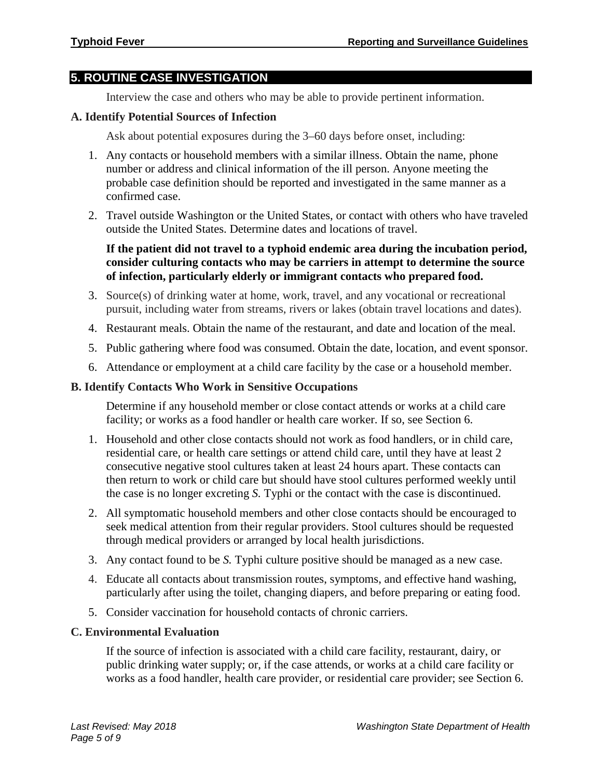#### **5. ROUTINE CASE INVESTIGATION**

Interview the case and others who may be able to provide pertinent information.

#### **A. Identify Potential Sources of Infection**

Ask about potential exposures during the 3–60 days before onset, including:

- 1. Any contacts or household members with a similar illness. Obtain the name, phone number or address and clinical information of the ill person. Anyone meeting the probable case definition should be reported and investigated in the same manner as a confirmed case.
- 2. Travel outside Washington or the United States, or contact with others who have traveled outside the United States. Determine dates and locations of travel.

#### **If the patient did not travel to a typhoid endemic area during the incubation period, consider culturing contacts who may be carriers in attempt to determine the source of infection, particularly elderly or immigrant contacts who prepared food.**

- 3. Source(s) of drinking water at home, work, travel, and any vocational or recreational pursuit, including water from streams, rivers or lakes (obtain travel locations and dates).
- 4. Restaurant meals. Obtain the name of the restaurant, and date and location of the meal.
- 5. Public gathering where food was consumed. Obtain the date, location, and event sponsor.
- 6. Attendance or employment at a child care facility by the case or a household member.

#### **B. Identify Contacts Who Work in Sensitive Occupations**

Determine if any household member or close contact attends or works at a child care facility; or works as a food handler or health care worker. If so, see Section 6.

- 1. Household and other close contacts should not work as food handlers, or in child care, residential care, or health care settings or attend child care, until they have at least 2 consecutive negative stool cultures taken at least 24 hours apart. These contacts can then return to work or child care but should have stool cultures performed weekly until the case is no longer excreting *S.* Typhi or the contact with the case is discontinued.
- 2. All symptomatic household members and other close contacts should be encouraged to seek medical attention from their regular providers. Stool cultures should be requested through medical providers or arranged by local health jurisdictions.
- 3. Any contact found to be *S.* Typhi culture positive should be managed as a new case.
- 4. Educate all contacts about transmission routes, symptoms, and effective hand washing, particularly after using the toilet, changing diapers, and before preparing or eating food.
- 5. Consider vaccination for household contacts of chronic carriers.

#### **C. Environmental Evaluation**

If the source of infection is associated with a child care facility, restaurant, dairy, or public drinking water supply; or, if the case attends, or works at a child care facility or works as a food handler, health care provider, or residential care provider; see Section 6.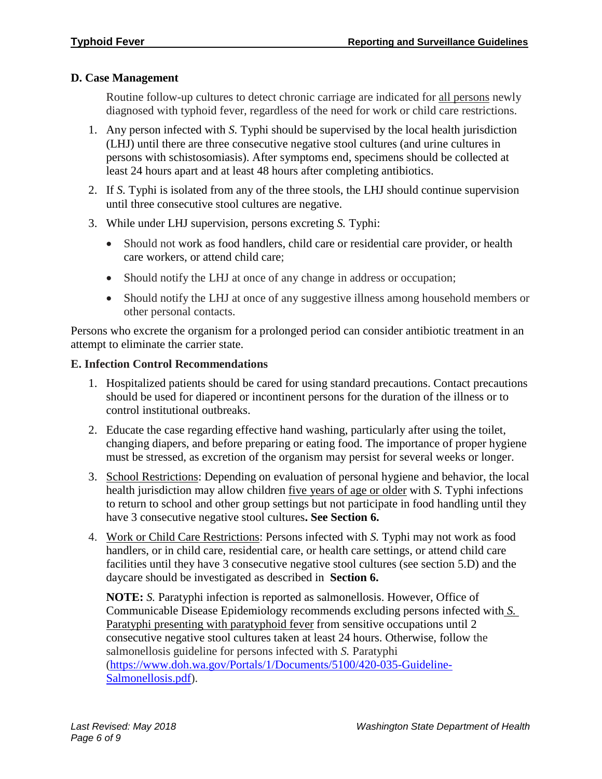# **D. Case Management**

Routine follow-up cultures to detect chronic carriage are indicated for all persons newly diagnosed with typhoid fever, regardless of the need for work or child care restrictions.

- 1. Any person infected with *S.* Typhi should be supervised by the local health jurisdiction (LHJ) until there are three consecutive negative stool cultures (and urine cultures in persons with schistosomiasis). After symptoms end, specimens should be collected at least 24 hours apart and at least 48 hours after completing antibiotics.
- 2. If *S.* Typhi is isolated from any of the three stools, the LHJ should continue supervision until three consecutive stool cultures are negative.
- 3. While under LHJ supervision, persons excreting *S.* Typhi:
	- Should not work as food handlers, child care or residential care provider, or health care workers, or attend child care;
	- Should notify the LHJ at once of any change in address or occupation;
	- Should notify the LHJ at once of any suggestive illness among household members or other personal contacts.

Persons who excrete the organism for a prolonged period can consider antibiotic treatment in an attempt to eliminate the carrier state.

# **E. Infection Control Recommendations**

- 1. Hospitalized patients should be cared for using standard precautions. Contact precautions should be used for diapered or incontinent persons for the duration of the illness or to control institutional outbreaks.
- 2. Educate the case regarding effective hand washing, particularly after using the toilet, changing diapers, and before preparing or eating food. The importance of proper hygiene must be stressed, as excretion of the organism may persist for several weeks or longer.
- 3. School Restrictions: Depending on evaluation of personal hygiene and behavior, the local health jurisdiction may allow children five years of age or older with *S.* Typhi infections to return to school and other group settings but not participate in food handling until they have 3 consecutive negative stool cultures**. See Section 6.**
- 4. Work or Child Care Restrictions: Persons infected with *S.* Typhi may not work as food handlers, or in child care, residential care, or health care settings, or attend child care facilities until they have 3 consecutive negative stool cultures (see section 5.D) and the daycare should be investigated as described in **Section 6.**

**NOTE:** *S.* Paratyphi infection is reported as salmonellosis. However, Office of Communicable Disease Epidemiology recommends excluding persons infected with *S.* Paratyphi presenting with paratyphoid fever from sensitive occupations until 2 consecutive negative stool cultures taken at least 24 hours. Otherwise, follow the salmonellosis guideline for persons infected with *S.* Paratyphi [\(https://www.doh.wa.gov/Portals/1/Documents/5100/420-035-Guideline-](https://www.doh.wa.gov/Portals/1/Documents/5100/420-035-Guideline-Salmonellosis.pdf)[Salmonellosis.pdf\)](https://www.doh.wa.gov/Portals/1/Documents/5100/420-035-Guideline-Salmonellosis.pdf).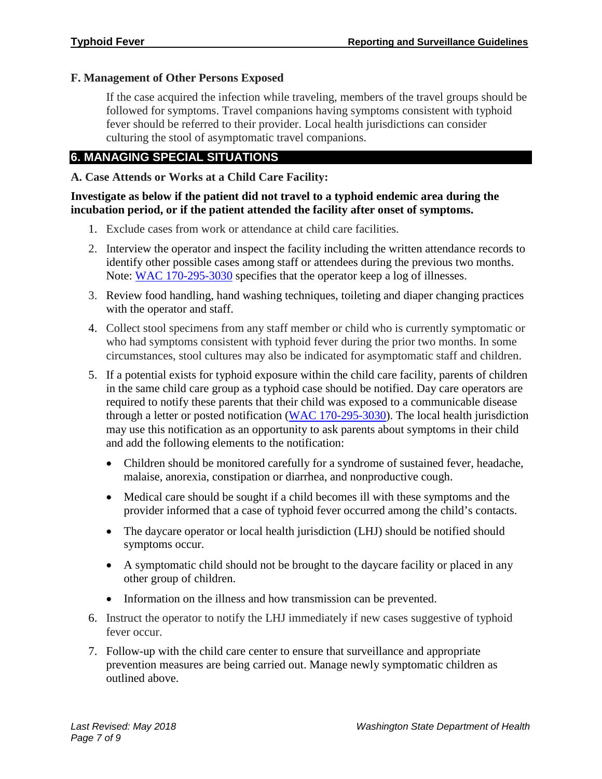# **F. Management of Other Persons Exposed**

If the case acquired the infection while traveling, members of the travel groups should be followed for symptoms. Travel companions having symptoms consistent with typhoid fever should be referred to their provider. Local health jurisdictions can consider culturing the stool of asymptomatic travel companions.

# **6. MANAGING SPECIAL SITUATIONS**

# **A. Case Attends or Works at a Child Care Facility:**

### **Investigate as below if the patient did not travel to a typhoid endemic area during the incubation period, or if the patient attended the facility after onset of symptoms.**

- 1. Exclude cases from work or attendance at child care facilities.
- 2. Interview the operator and inspect the facility including the written attendance records to identify other possible cases among staff or attendees during the previous two months. Note: WAC [170-295-3030](https://app.leg.wa.gov/wac/default.aspx?cite=170-295-3030) specifies that the operator keep a log of illnesses.
- 3. Review food handling, hand washing techniques, toileting and diaper changing practices with the operator and staff.
- 4. Collect stool specimens from any staff member or child who is currently symptomatic or who had symptoms consistent with typhoid fever during the prior two months. In some circumstances, stool cultures may also be indicated for asymptomatic staff and children.
- 5. If a potential exists for typhoid exposure within the child care facility, parents of children in the same child care group as a typhoid case should be notified. Day care operators are required to notify these parents that their child was exposed to a communicable disease through a letter or posted notification [\(WAC 170-295-3030\)](https://app.leg.wa.gov/wac/default.aspx?cite=170-295-3030). The local health jurisdiction may use this notification as an opportunity to ask parents about symptoms in their child and add the following elements to the notification:
	- Children should be monitored carefully for a syndrome of sustained fever, headache, malaise, anorexia, constipation or diarrhea, and nonproductive cough.
	- Medical care should be sought if a child becomes ill with these symptoms and the provider informed that a case of typhoid fever occurred among the child's contacts.
	- The daycare operator or local health jurisdiction (LHJ) should be notified should symptoms occur.
	- A symptomatic child should not be brought to the daycare facility or placed in any other group of children.
	- Information on the illness and how transmission can be prevented.
- 6. Instruct the operator to notify the LHJ immediately if new cases suggestive of typhoid fever occur.
- 7. Follow-up with the child care center to ensure that surveillance and appropriate prevention measures are being carried out. Manage newly symptomatic children as outlined above.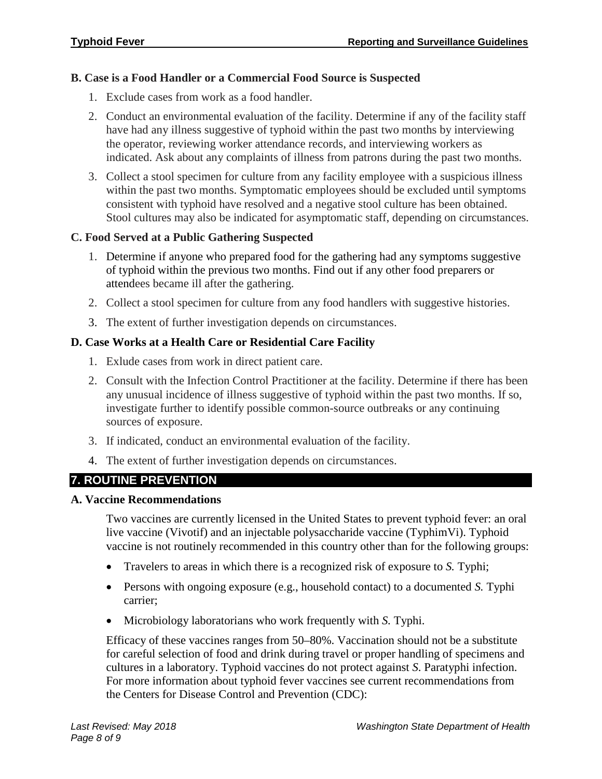# **B. Case is a Food Handler or a Commercial Food Source is Suspected**

- 1. Exclude cases from work as a food handler.
- 2. Conduct an environmental evaluation of the facility. Determine if any of the facility staff have had any illness suggestive of typhoid within the past two months by interviewing the operator, reviewing worker attendance records, and interviewing workers as indicated. Ask about any complaints of illness from patrons during the past two months.
- 3. Collect a stool specimen for culture from any facility employee with a suspicious illness within the past two months. Symptomatic employees should be excluded until symptoms consistent with typhoid have resolved and a negative stool culture has been obtained. Stool cultures may also be indicated for asymptomatic staff, depending on circumstances.

# **C. Food Served at a Public Gathering Suspected**

- 1. Determine if anyone who prepared food for the gathering had any symptoms suggestive of typhoid within the previous two months. Find out if any other food preparers or attendees became ill after the gathering.
- 2. Collect a stool specimen for culture from any food handlers with suggestive histories.
- 3. The extent of further investigation depends on circumstances.

# **D. Case Works at a Health Care or Residential Care Facility**

- 1. Exlude cases from work in direct patient care.
- 2. Consult with the Infection Control Practitioner at the facility. Determine if there has been any unusual incidence of illness suggestive of typhoid within the past two months. If so, investigate further to identify possible common-source outbreaks or any continuing sources of exposure.
- 3. If indicated, conduct an environmental evaluation of the facility.
- 4. The extent of further investigation depends on circumstances.

# **7. ROUTINE PREVENTION**

# **A. Vaccine Recommendations**

Two vaccines are currently licensed in the United States to prevent typhoid fever: an oral live vaccine (Vivotif) and an injectable polysaccharide vaccine (TyphimVi). Typhoid vaccine is not routinely recommended in this country other than for the following groups:

- Travelers to areas in which there is a recognized risk of exposure to *S.* Typhi;
- Persons with ongoing exposure (e.g., household contact) to a documented *S.* Typhi carrier;
- Microbiology laboratorians who work frequently with *S.* Typhi.

Efficacy of these vaccines ranges from 50–80%. Vaccination should not be a substitute for careful selection of food and drink during travel or proper handling of specimens and cultures in a laboratory. Typhoid vaccines do not protect against *S*. Paratyphi infection. For more information about typhoid fever vaccines see current recommendations from the Centers for Disease Control and Prevention (CDC):